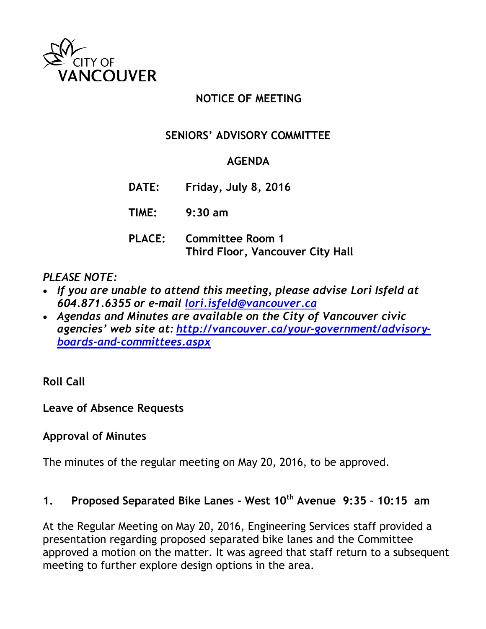

## **NOTICE OF MEETING**

### **SENIORS' ADVISORY COMMITTEE**

#### **AGENDA**

- **DATE: Friday, July 8, 2016**
- **TIME: 9:30 am**
- **PLACE: Committee Room 1 Third Floor, Vancouver City Hall**

*PLEASE NOTE:*

- *If you are unable to attend this meeting, please advise Lori Isfeld at 604.871.6355 or e-mail [lori.isfeld@vancouver.ca](mailto:lori.isfeld@vancouver.ca)*
- *Agendas and Minutes are available on the City of Vancouver civic agencies' web site at: [http://vancouver.ca/your-government/advisory](http://vancouver.ca/your-government/advisory-boards-and-committees.aspx)[boards-and-committees.aspx](http://vancouver.ca/your-government/advisory-boards-and-committees.aspx)*

**Roll Call**

**Leave of Absence Requests**

#### **Approval of Minutes**

The minutes of the regular meeting on May 20, 2016, to be approved.

#### **1. Proposed Separated Bike Lanes - West 10th Avenue 9:35 – 10:15 am**

At the Regular Meeting on May 20, 2016, Engineering Services staff provided a presentation regarding proposed separated bike lanes and the Committee approved a motion on the matter. It was agreed that staff return to a subsequent meeting to further explore design options in the area.